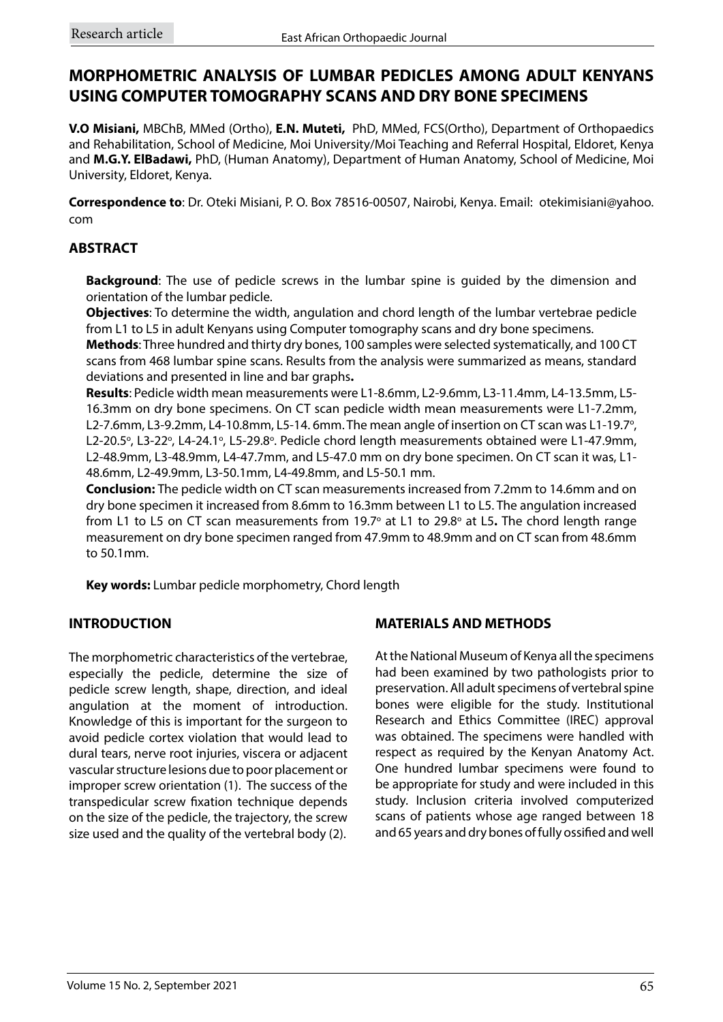# **MORPHOMETRIC ANALYSIS OF LUMBAR PEDICLES AMONG ADULT KENYANS USING COMPUTER TOMOGRAPHY SCANS AND DRY BONE SPECIMENS**

**V.O Misiani,** MBChB, MMed (Ortho), **E.N. Muteti,** PhD, MMed, FCS(Ortho), Department of Orthopaedics and Rehabilitation, School of Medicine, Moi University/Moi Teaching and Referral Hospital, Eldoret, Kenya and **M.G.Y. ElBadawi,** PhD, (Human Anatomy), Department of Human Anatomy, School of Medicine, Moi University, Eldoret, Kenya.

**Correspondence to**: Dr. Oteki Misiani, P. O. Box 78516-00507, Nairobi, Kenya. Email: otekimisiani@yahoo. com

#### **ABSTRACT**

**Background**: The use of pedicle screws in the lumbar spine is guided by the dimension and orientation of the lumbar pedicle.

**Objectives**: To determine the width, angulation and chord length of the lumbar vertebrae pedicle from L1 to L5 in adult Kenyans using Computer tomography scans and dry bone specimens.

**Methods**: Three hundred and thirty dry bones, 100 samples were selected systematically, and 100 CT scans from 468 lumbar spine scans. Results from the analysis were summarized as means, standard deviations and presented in line and bar graphs**.**

**Results**: Pedicle width mean measurements were L1-8.6mm, L2-9.6mm, L3-11.4mm, L4-13.5mm, L5- 16.3mm on dry bone specimens. On CT scan pedicle width mean measurements were L1-7.2mm, L2-7.6mm, L3-9.2mm, L4-10.8mm, L5-14.6mm. The mean angle of insertion on CT scan was L1-19.7°, L2-20.5°, L3-22°, L4-24.1°, L5-29.8°. Pedicle chord length measurements obtained were L1-47.9mm, L2-48.9mm, L3-48.9mm, L4-47.7mm, and L5-47.0 mm on dry bone specimen. On CT scan it was, L1- 48.6mm, L2-49.9mm, L3-50.1mm, L4-49.8mm, and L5-50.1 mm.

**Conclusion:** The pedicle width on CT scan measurements increased from 7.2mm to 14.6mm and on dry bone specimen it increased from 8.6mm to 16.3mm between L1 to L5. The angulation increased from L1 to L5 on CT scan measurements from 19.7° at L1 to 29.8° at L5. The chord length range measurement on dry bone specimen ranged from 47.9mm to 48.9mm and on CT scan from 48.6mm to 50.1mm.

**Key words:** Lumbar pedicle morphometry, Chord length

### **INTRODUCTION**

The morphometric characteristics of the vertebrae, especially the pedicle, determine the size of pedicle screw length, shape, direction, and ideal angulation at the moment of introduction. Knowledge of this is important for the surgeon to avoid pedicle cortex violation that would lead to dural tears, nerve root injuries, viscera or adjacent vascular structure lesions due to poor placement or improper screw orientation (1). The success of the transpedicular screw fixation technique depends on the size of the pedicle, the trajectory, the screw size used and the quality of the vertebral body (2).

### **MATERIALS AND METHODS**

At the National Museum of Kenya all the specimens had been examined by two pathologists prior to preservation. All adult specimens of vertebral spine bones were eligible for the study. Institutional Research and Ethics Committee (IREC) approval was obtained. The specimens were handled with respect as required by the Kenyan Anatomy Act. One hundred lumbar specimens were found to be appropriate for study and were included in this study. Inclusion criteria involved computerized scans of patients whose age ranged between 18 and 65 years and dry bones of fully ossified and well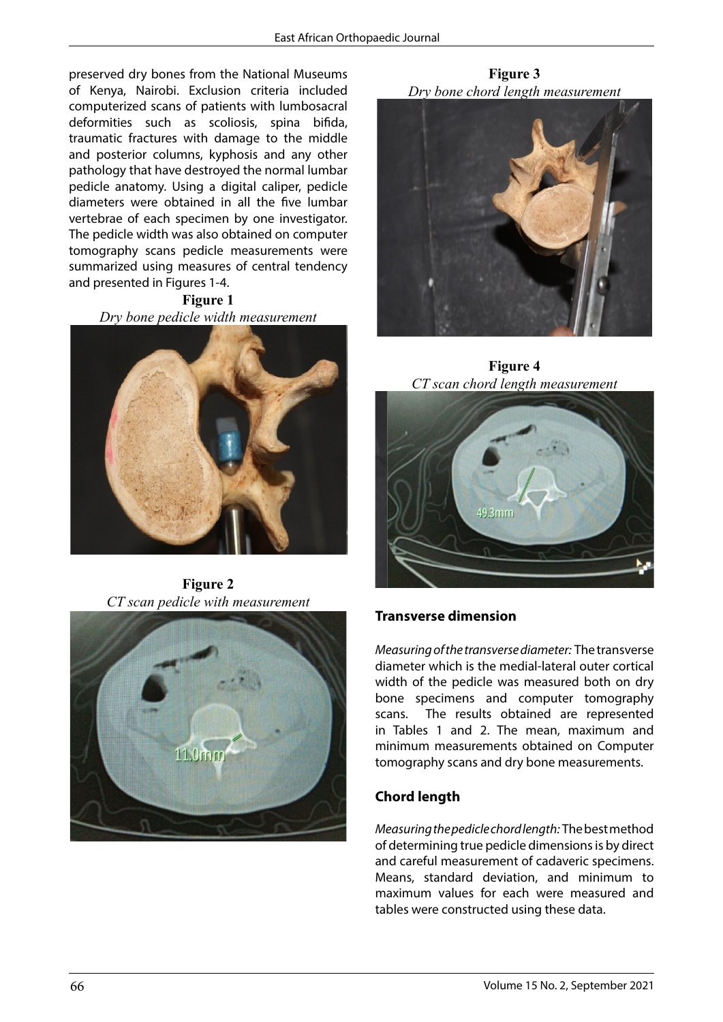preserved dry bones from the National Museums of Kenya, Nairobi. Exclusion criteria included computerized scans of patients with lumbosacral deformities such as scoliosis, spina bifida, traumatic fractures with damage to the middle and posterior columns, kyphosis and any other pathology that have destroyed the normal lumbar pedicle anatomy. Using a digital caliper, pedicle diameters were obtained in all the five lumbar vertebrae of each specimen by one investigator. The pedicle width was also obtained on computer tomography scans pedicle measurements were summarized using measures of central tendency and presented in Figures 1-4.

**Figure 1** *Dry bone pedicle width measurement*



**Figure 2** *CT scan pedicle with measurement*



**Figure 3** *Dry bone chord length measurement*



**Transverse dimension** *CT* scan chord length measurement **Figure 4**



### **Transverse dimension**

*Measurement pedicle width Measurement pedicle width*  diameter which is the medial-lateral outer cortical width of the pedicle was measured both on dry bone specimens and computer tomography scans. The results obtained are represented in Tables 1 and 2. The mean, maximum and minimum measurements obtained on Computer tomography scans and dry bone measurements.

### **Chord length**

*Measuring the pedicle chord length:* The best method of determining true pedicle dimensions is by direct and careful measurement of cadaveric specimens. Means, standard deviation, and minimum to maximum values for each were measured and tables were constructed using these data.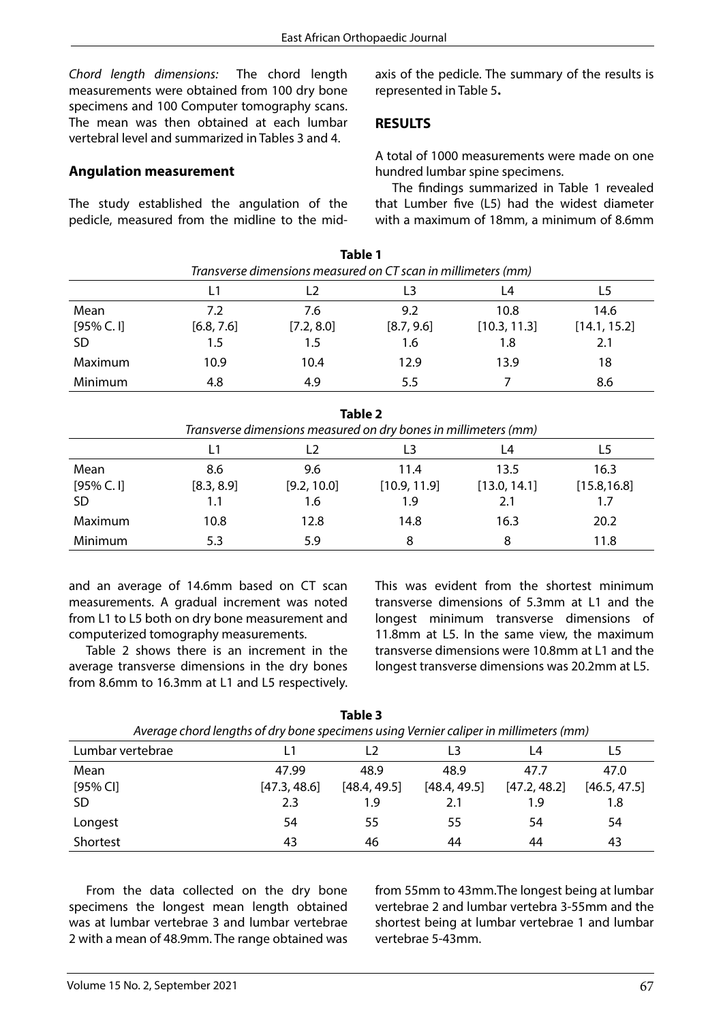*Chord length dimensions:* The chord length measurements were obtained from 100 dry bone specimens and 100 Computer tomography scans. The mean was then obtained at each lumbar vertebral level and summarized in Tables 3 and 4.

#### **Angulation measurement**

The study established the angulation of the pedicle, measured from the midline to the midaxis of the pedicle. The summary of the results is represented in Table 5**.**

#### **RESULTS**

A total of 1000 measurements were made on one hundred lumbar spine specimens.

The findings summarized in Table 1 revealed that Lumber five (L5) had the widest diameter with a maximum of 18mm, a minimum of 8.6mm

| Table 1<br>Transverse dimensions measured on CT scan in millimeters (mm) |            |            |            |              |              |  |  |
|--------------------------------------------------------------------------|------------|------------|------------|--------------|--------------|--|--|
|                                                                          | L1         |            |            | L4           |              |  |  |
| Mean                                                                     | 7.2        | 7.6        | 9.2        | 10.8         | 14.6         |  |  |
| [95% C. 1]                                                               | [6.8, 7.6] | [7.2, 8.0] | [8.7, 9.6] | [10.3, 11.3] | [14.1, 15.2] |  |  |
| <b>SD</b>                                                                | 1.5        | 1.5        | 1.6        | 1.8          | 2.1          |  |  |
| Maximum                                                                  | 10.9       | 10.4       | 12.9       | 13.9         | 18           |  |  |
| Minimum                                                                  | 4.8        | 4.9        | 5.5        |              | 8.6          |  |  |

|                                                                 |            |                | <b>Table 2</b> |              |              |  |  |
|-----------------------------------------------------------------|------------|----------------|----------------|--------------|--------------|--|--|
| Transverse dimensions measured on dry bones in millimeters (mm) |            |                |                |              |              |  |  |
|                                                                 | L1         | L <sub>2</sub> |                | L4           | L5           |  |  |
| Mean                                                            | 8.6        | 9.6            | 11.4           | 13.5         | 16.3         |  |  |
| [95% C. 1]                                                      | [8.3, 8.9] | [9.2, 10.0]    | [10.9, 11.9]   | [13.0, 14.1] | [15.8, 16.8] |  |  |
| <b>SD</b>                                                       | 1.1        | 1.6            | 1.9            | 2.1          | 1.7          |  |  |
| Maximum                                                         | 10.8       | 12.8           | 14.8           | 16.3         | 20.2         |  |  |
| Minimum                                                         | 5.3        | 5.9            | 8              | 8            | 11.8         |  |  |

and an average of 14.6mm based on CT scan measurements. A gradual increment was noted from L1 to L5 both on dry bone measurement and computerized tomography measurements.

Table 2 shows there is an increment in the average transverse dimensions in the dry bones from 8.6mm to 16.3mm at L1 and L5 respectively. This was evident from the shortest minimum transverse dimensions of 5.3mm at L1 and the longest minimum transverse dimensions of 11.8mm at L5. In the same view, the maximum transverse dimensions were 10.8mm at L1 and the longest transverse dimensions was 20.2mm at L5.

| Average chord lengths of dry bone specimens using Vernier caliper in millimeters (mm) |              |              |              |              |              |  |  |  |
|---------------------------------------------------------------------------------------|--------------|--------------|--------------|--------------|--------------|--|--|--|
| Lumbar vertebrae                                                                      |              |              |              | L4           |              |  |  |  |
| Mean                                                                                  | 47.99        | 48.9         | 48.9         | 47.7         | 47.0         |  |  |  |
| $[95%$ CI]                                                                            | [47.3, 48.6] | [48.4, 49.5] | [48.4, 49.5] | [47.2, 48.2] | [46.5, 47.5] |  |  |  |
| <b>SD</b>                                                                             | 2.3          | 1.9          | 2.1          | 1.9          | 1.8          |  |  |  |
| Longest                                                                               | 54           | 55           | 55           | 54           | 54           |  |  |  |
| Shortest                                                                              | 43           | 46           | 44           | 44           | 43           |  |  |  |

**Table 3** *Average chord lengths of dry bone specimens using Vernier caliper in millimeters (mm)*

From the data collected on the dry bone specimens the longest mean length obtained was at lumbar vertebrae 3 and lumbar vertebrae 2 with a mean of 48.9mm. The range obtained was from 55mm to 43mm.The longest being at lumbar vertebrae 2 and lumbar vertebra 3-55mm and the shortest being at lumbar vertebrae 1 and lumbar vertebrae 5-43mm.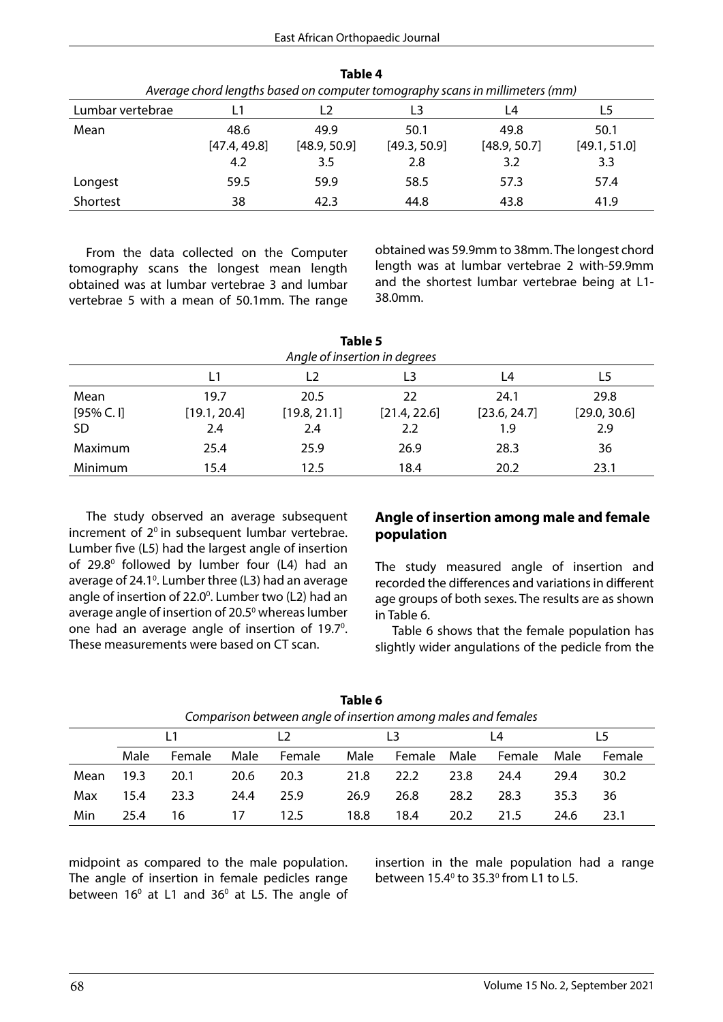| Average chord lengths based on computer tomography scans in millimeters (mm) |              |              |              |              |              |  |  |  |  |
|------------------------------------------------------------------------------|--------------|--------------|--------------|--------------|--------------|--|--|--|--|
| Lumbar vertebrae                                                             |              |              | L3           | L4           | L5           |  |  |  |  |
| Mean                                                                         | 48.6         | 49.9         | 50.1         | 49.8         | 50.1         |  |  |  |  |
|                                                                              | [47.4, 49.8] | [48.9, 50.9] | [49.3, 50.9] | [48.9, 50.7] | [49.1, 51.0] |  |  |  |  |
|                                                                              | 4.2          | 3.5          | 2.8          | 3.2          | 3.3          |  |  |  |  |
| Longest                                                                      | 59.5         | 59.9         | 58.5         | 57.3         | 57.4         |  |  |  |  |
| Shortest                                                                     | 38           | 42.3         | 44.8         | 43.8         | 41.9         |  |  |  |  |

**Table 4**

From the data collected on the Computer tomography scans the longest mean length obtained was at lumbar vertebrae 3 and lumbar vertebrae 5 with a mean of 50.1mm. The range obtained was 59.9mm to 38mm. The longest chord length was at lumbar vertebrae 2 with-59.9mm and the shortest lumbar vertebrae being at L1- 38.0mm.

| Table 5<br>Angle of insertion in degrees |              |                |              |              |              |  |  |  |
|------------------------------------------|--------------|----------------|--------------|--------------|--------------|--|--|--|
|                                          | L1           | L <sub>2</sub> | L3           | L4           | L5           |  |  |  |
| Mean                                     | 19.7         | 20.5           | 22           | 24.1         | 29.8         |  |  |  |
| [95% C. 1]                               | [19.1, 20.4] | [19.8, 21.1]   | [21.4, 22.6] | [23.6, 24.7] | [29.0, 30.6] |  |  |  |
| <b>SD</b>                                | 2.4          | 2.4            | 2.2          | 1.9          | 2.9          |  |  |  |
| Maximum                                  | 25.4         | 25.9           | 26.9         | 28.3         | 36           |  |  |  |
| Minimum                                  | 15.4         | 12.5           | 18.4         | 20.2         | 23.1         |  |  |  |

The study observed an average subsequent increment of  $2^{\circ}$  in subsequent lumbar vertebrae. Lumber five (L5) had the largest angle of insertion of 29.8<sup>0</sup> followed by lumber four (L4) had an average of 24.1<sup>o</sup>. Lumber three (L3) had an average angle of insertion of 22.0<sup>0</sup>. Lumber two (L2) had an average angle of insertion of 20.5<sup>0</sup> whereas lumber one had an average angle of insertion of 19.7<sup>o</sup>. These measurements were based on CT scan.

#### **Angle of insertion among male and female population**

The study measured angle of insertion and recorded the differences and variations in different age groups of both sexes. The results are as shown in Table 6.

Table 6 shows that the female population has slightly wider angulations of the pedicle from the

| Comparison between angle of insertion among males and females |      |        |      |        |      |        |      |        |      |        |
|---------------------------------------------------------------|------|--------|------|--------|------|--------|------|--------|------|--------|
|                                                               |      |        |      |        | 4 ا  |        |      |        |      |        |
|                                                               | Male | Female | Male | Female | Male | Female | Male | Female | Male | Female |
| Mean                                                          | 19.3 | 20.1   | 20.6 | 20.3   | 21.8 | 22.2   | 23.8 | 24.4   | 29.4 | 30.2   |
| Max                                                           | 15.4 | 23.3   | 24.4 | 25.9   | 26.9 | 26.8   | 28.2 | 28.3   | 35.3 | 36     |
| Min                                                           | 25.4 | 16     | 17   | 12.5   | 18.8 | 18.4   | 20.2 | 21.5   | 24.6 | 23.1   |

| Table 6                                                      |  |
|--------------------------------------------------------------|--|
| omparison between anale of insertion amona males and females |  |

midpoint as compared to the male population. The angle of insertion in female pedicles range between  $16^{\circ}$  at L1 and 36 $^{\circ}$  at L5. The angle of insertion in the male population had a range between  $15.4^{\circ}$  to  $35.3^{\circ}$  from L1 to L5.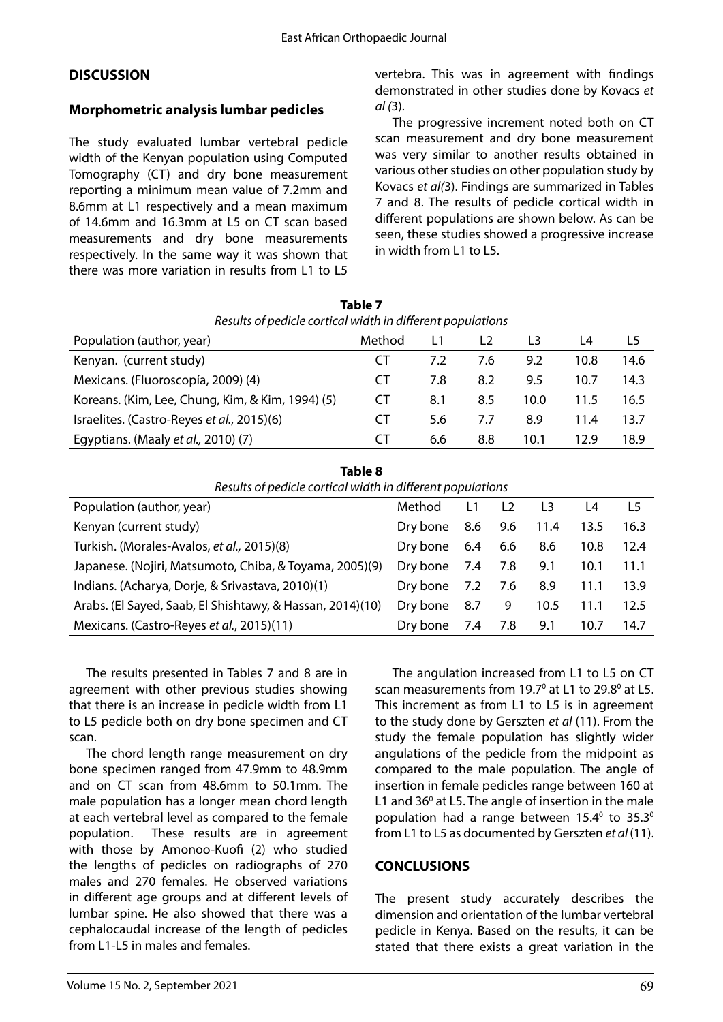### **DISCUSSION**

#### **Morphometric analysis lumbar pedicles**

The study evaluated lumbar vertebral pedicle width of the Kenyan population using Computed Tomography (CT) and dry bone measurement reporting a minimum mean value of 7.2mm and 8.6mm at L1 respectively and a mean maximum of 14.6mm and 16.3mm at L5 on CT scan based measurements and dry bone measurements respectively. In the same way it was shown that there was more variation in results from L1 to L5 vertebra. This was in agreement with findings demonstrated in other studies done by Kovacs *et al (*3).

The progressive increment noted both on CT scan measurement and dry bone measurement was very similar to another results obtained in various other studies on other population study by Kovacs *et al(*3). Findings are summarized in Tables 7 and 8. The results of pedicle cortical width in different populations are shown below. As can be seen, these studies showed a progressive increase in width from L1 to L5.

| Results of pedicle cortical width in different populations |        |     |     |      |      |      |  |  |
|------------------------------------------------------------|--------|-----|-----|------|------|------|--|--|
| Population (author, year)                                  | Method |     | L2  | 13   | L4   | L5   |  |  |
| Kenyan. (current study)                                    | C I    | 7.2 | 7.6 | 9.2  | 10.8 | 14.6 |  |  |
| Mexicans. (Fluoroscopía, 2009) (4)                         | C I    | 7.8 | 8.2 | 9.5  | 10.7 | 14.3 |  |  |
| Koreans. (Kim, Lee, Chung, Kim, & Kim, 1994) (5)           | CT     | 8.1 | 8.5 | 10.0 | 11.5 | 16.5 |  |  |
| Israelites. (Castro-Reyes et al., 2015)(6)                 | CТ     | 5.6 | 7.7 | 8.9  | 11.4 | 13.7 |  |  |
| Egyptians. (Maaly et al., 2010) (7)                        | C.I    | 6.6 | 8.8 | 10.1 | 12.9 | 18.9 |  |  |

**Table 7**

| Table 8                                                    |
|------------------------------------------------------------|
| Results of pedicle cortical width in different populations |

| <u>NESURS OF DEGICLE CONTIGUE WIGHT IN GILLETENT DODUIGHOUS</u> |          |     |                |                |      |      |  |  |
|-----------------------------------------------------------------|----------|-----|----------------|----------------|------|------|--|--|
| Population (author, year)                                       | Method   | L1  | L <sub>2</sub> | L <sub>3</sub> | L4   | L5   |  |  |
| Kenyan (current study)                                          | Dry bone | 8.6 | 9.6            | 11.4           | 13.5 | 16.3 |  |  |
| Turkish. (Morales-Avalos, et al., 2015)(8)                      | Dry bone | 6.4 | 6.6            | 8.6            | 10.8 | 12.4 |  |  |
| Japanese. (Nojiri, Matsumoto, Chiba, & Toyama, 2005)(9)         | Dry bone | 7.4 | 7.8            | 9.1            | 10.1 | 11.1 |  |  |
| Indians. (Acharya, Dorje, & Srivastava, 2010)(1)                | Dry bone | 7.2 | 7.6            | 8.9            | 11.1 | 13.9 |  |  |
| Arabs. (El Sayed, Saab, El Shishtawy, & Hassan, 2014)(10)       | Dry bone | 8.7 | 9              | 10.5           | 11.1 | 12.5 |  |  |
| Mexicans. (Castro-Reyes et al., 2015)(11)                       | Dry bone | 7.4 | 7.8            | 9.1            | 10.7 | 14.7 |  |  |

The results presented in Tables 7 and 8 are in agreement with other previous studies showing that there is an increase in pedicle width from L1 to L5 pedicle both on dry bone specimen and CT scan.

The chord length range measurement on dry bone specimen ranged from 47.9mm to 48.9mm and on CT scan from 48.6mm to 50.1mm. The male population has a longer mean chord length at each vertebral level as compared to the female population. These results are in agreement with those by Amonoo-Kuofi (2) who studied the lengths of pedicles on radiographs of 270 males and 270 females. He observed variations in different age groups and at different levels of lumbar spine. He also showed that there was a cephalocaudal increase of the length of pedicles from L1-L5 in males and females.

The angulation increased from L1 to L5 on CT scan measurements from 19.7<sup>°</sup> at L1 to 29.8<sup>°</sup> at L5. This increment as from L1 to L5 is in agreement to the study done by Gerszten *et al* (11). From the study the female population has slightly wider angulations of the pedicle from the midpoint as compared to the male population. The angle of insertion in female pedicles range between 160 at L1 and  $36^{\circ}$  at L5. The angle of insertion in the male population had a range between  $15.4^{\circ}$  to  $35.3^{\circ}$ from L1 to L5 as documented by Gerszten *et al* (11).

### **CONCLUSIONS**

The present study accurately describes the dimension and orientation of the lumbar vertebral pedicle in Kenya. Based on the results, it can be stated that there exists a great variation in the